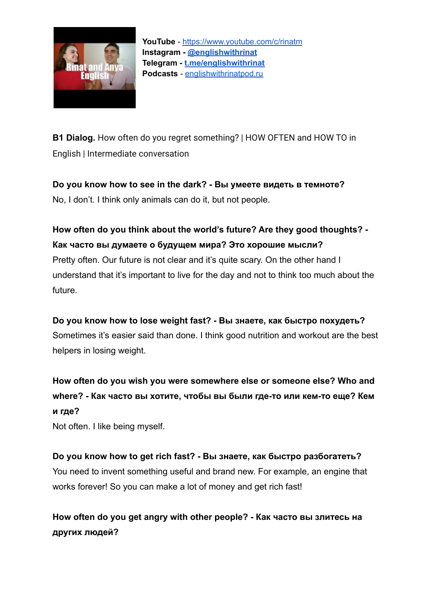

**B1 Dialog.** How often do you regret something? | HOW OFTEN and HOW TO in English | Intermediate conversation

**Do you know how to see in the dark? - Вы умеете видеть в темноте?** No, I don't. I think only animals can do it, but not people.

**How often do you think about the world's future? Are they good thoughts? - Как часто вы думаете о будущем мира? Это хорошие мысли?** Pretty often. Our future is not clear and it's quite scary. On the other hand I understand that it's important to live for the day and not to think too much about the future.

**Do you know how to lose weight fast? - Вы знаете, как быстро похудеть?** Sometimes it's easier said than done. I think good nutrition and workout are the best helpers in losing weight.

**How often do you wish you were somewhere else or someone else? Who and where? - Как часто вы хотите, чтобы вы были где-то или кем-то еще? Кем и где?**

Not often. I like being myself.

**Do you know how to get rich fast? - Вы знаете, как быстро разбогатеть?** You need to invent something useful and brand new. For example, an engine that works forever! So you can make a lot of money and get rich fast!

**How often do you get angry with other people? - Как часто вы злитесь на других людей?**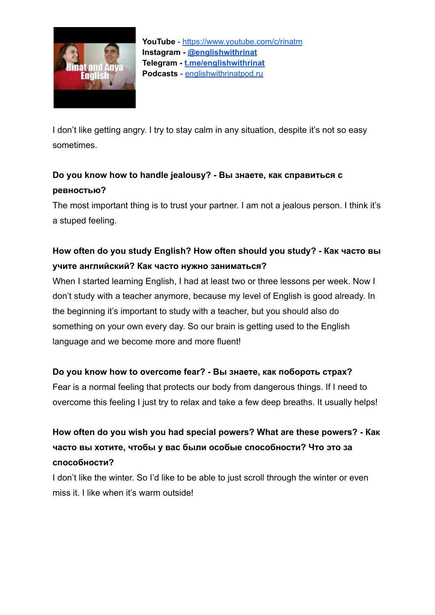

I don't like getting angry. I try to stay calm in any situation, despite it's not so easy sometimes.

### **Do you know how to handle jealousy? - Вы знаете, как справиться с ревностью?**

The most important thing is to trust your partner. I am not a jealous person. I think it's a stuped feeling.

### **How often do you study English? How often should you study? - Как часто вы учите английский? Как часто нужно заниматься?**

When I started learning English, I had at least two or three lessons per week. Now I don't study with a teacher anymore, because my level of English is good already. In the beginning it's important to study with a teacher, but you should also do something on your own every day. So our brain is getting used to the English language and we become more and more fluent!

#### **Do you know how to overcome fear? - Вы знаете, как побороть страх?**

Fear is a normal feeling that protects our body from dangerous things. If I need to overcome this feeling I just try to relax and take a few deep breaths. It usually helps!

**How often do you wish you had special powers? What are these powers? - Как часто вы хотите, чтобы у вас были особые способности? Что это за способности?**

I don't like the winter. So I'd like to be able to just scroll through the winter or even miss it. I like when it's warm outside!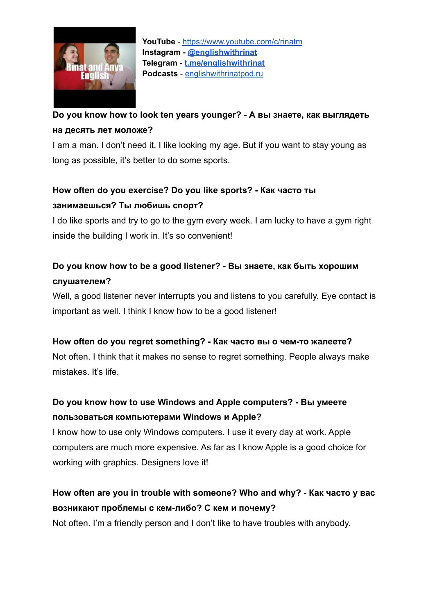

## **Do you know how to look ten years younger? - А вы знаете, как выглядеть на десять лет моложе?**

I am a man. I don't need it. I like looking my age. But if you want to stay young as long as possible, it's better to do some sports.

### **How often do you exercise? Do you like sports? - Как часто ты занимаешься? Ты любишь спорт?**

I do like sports and try to go to the gym every week. I am lucky to have a gym right inside the building I work in. It's so convenient!

## **Do you know how to be a good listener? - Вы знаете, как быть хорошим слушателем?**

Well, a good listener never interrupts you and listens to you carefully. Eye contact is important as well. I think I know how to be a good listener!

#### **How often do you regret something? - Как часто вы о чем-то жалеете?**

Not often. I think that it makes no sense to regret something. People always make mistakes. It's life.

### **Do you know how to use Windows and Apple computers? - Вы умеете пользоваться компьютерами Windows и Apple?**

I know how to use only Windows computers. I use it every day at work. Apple computers are much more expensive. As far as I know Apple is a good choice for working with graphics. Designers love it!

# **How often are you in trouble with someone? Who and why? - Как часто у вас возникают проблемы с кем-либо? C кем и почему?**

Not often. I'm a friendly person and I don't like to have troubles with anybody.